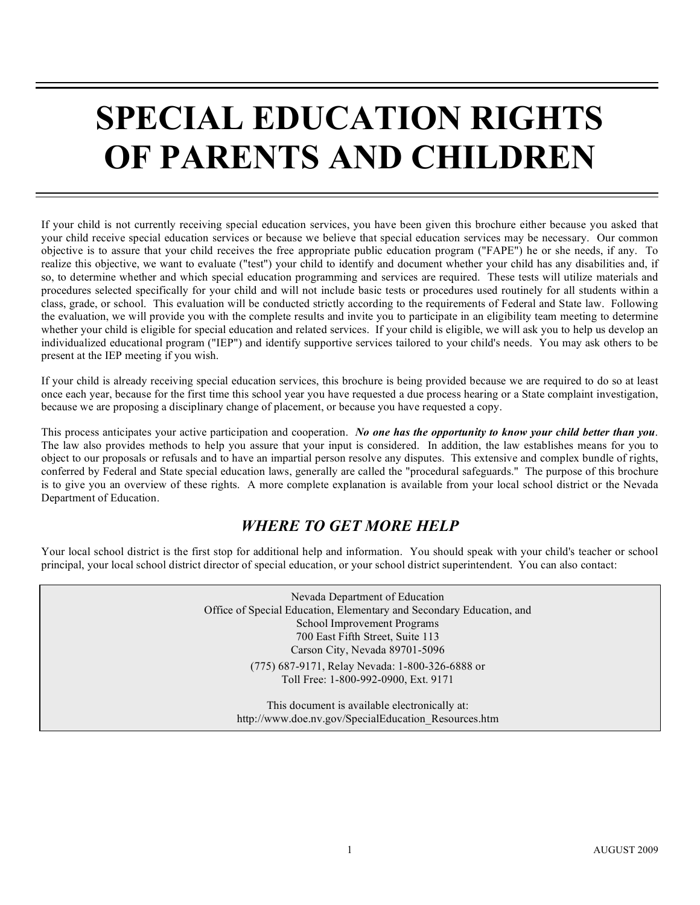# **SPECIAL EDUCATION RIGHTS OF PARENTS AND CHILDREN**

If your child is not currently receiving special education services, you have been given this brochure either because you asked that your child receive special education services or because we believe that special education services may be necessary. Our common objective is to assure that your child receives the free appropriate public education program ("FAPE") he or she needs, if any. To realize this objective, we want to evaluate ("test") your child to identify and document whether your child has any disabilities and, if so, to determine whether and which special education programming and services are required. These tests will utilize materials and procedures selected specifically for your child and will not include basic tests or procedures used routinely for all students within a class, grade, or school. This evaluation will be conducted strictly according to the requirements of Federal and State law. Following the evaluation, we will provide you with the complete results and invite you to participate in an eligibility team meeting to determine whether your child is eligible for special education and related services. If your child is eligible, we will ask you to help us develop an individualized educational program ("IEP") and identify supportive services tailored to your child's needs. You may ask others to be present at the IEP meeting if you wish.

If your child is already receiving special education services, this brochure is being provided because we are required to do so at least once each year, because for the first time this school year you have requested a due process hearing or a State complaint investigation, because we are proposing a disciplinary change of placement, or because you have requested a copy.

This process anticipates your active participation and cooperation. *No one has the opportunity to know your child better than you*. The law also provides methods to help you assure that your input is considered. In addition, the law establishes means for you to object to our proposals or refusals and to have an impartial person resolve any disputes. This extensive and complex bundle of rights, conferred by Federal and State special education laws, generally are called the "procedural safeguards." The purpose of this brochure is to give you an overview of these rights. A more complete explanation is available from your local school district or the Nevada Department of Education.

# *WHERE TO GET MORE HELP*

Your local school district is the first stop for additional help and information. You should speak with your child's teacher or school principal, your local school district director of special education, or your school district superintendent. You can also contact:

> Nevada Department of Education Office of Special Education, Elementary and Secondary Education, and School Improvement Programs 700 East Fifth Street, Suite 113 Carson City, Nevada 89701-5096 (775) 687-9171, Relay Nevada: 1-800-326-6888 or Toll Free: 1-800-992-0900, Ext. 9171

This document is available electronically at: http://www.doe.nv.gov/SpecialEducation\_Resources.htm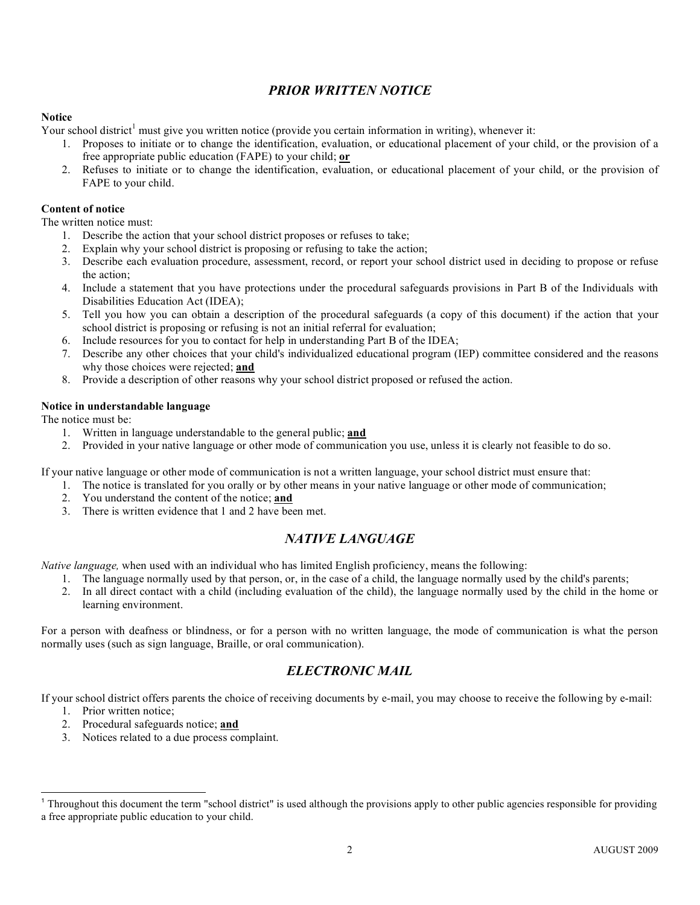# *PRIOR WRITTEN NOTICE*

# **Notice**

Your school district<sup>1</sup> must give you written notice (provide you certain information in writing), whenever it:

- 1. Proposes to initiate or to change the identification, evaluation, or educational placement of your child, or the provision of a free appropriate public education (FAPE) to your child; **or**
- 2. Refuses to initiate or to change the identification, evaluation, or educational placement of your child, or the provision of FAPE to your child.

# **Content of notice**

The written notice must:

- 1. Describe the action that your school district proposes or refuses to take;
- 2. Explain why your school district is proposing or refusing to take the action;
- 3. Describe each evaluation procedure, assessment, record, or report your school district used in deciding to propose or refuse the action;
- 4. Include a statement that you have protections under the procedural safeguards provisions in Part B of the Individuals with Disabilities Education Act (IDEA);
- 5. Tell you how you can obtain a description of the procedural safeguards (a copy of this document) if the action that your school district is proposing or refusing is not an initial referral for evaluation;
- 6. Include resources for you to contact for help in understanding Part B of the IDEA;
- 7. Describe any other choices that your child's individualized educational program (IEP) committee considered and the reasons why those choices were rejected; **and**
- 8. Provide a description of other reasons why your school district proposed or refused the action.

# **Notice in understandable language**

The notice must be:

- 1. Written in language understandable to the general public; **and**
- 2. Provided in your native language or other mode of communication you use, unless it is clearly not feasible to do so.

If your native language or other mode of communication is not a written language, your school district must ensure that:

- 1. The notice is translated for you orally or by other means in your native language or other mode of communication;
- 2. You understand the content of the notice; **and**
- 3. There is written evidence that 1 and 2 have been met.

# *NATIVE LANGUAGE*

*Native language,* when used with an individual who has limited English proficiency, means the following:

- 1. The language normally used by that person, or, in the case of a child, the language normally used by the child's parents;
- 2. In all direct contact with a child (including evaluation of the child), the language normally used by the child in the home or learning environment.

For a person with deafness or blindness, or for a person with no written language, the mode of communication is what the person normally uses (such as sign language, Braille, or oral communication).

# *ELECTRONIC MAIL*

If your school district offers parents the choice of receiving documents by e-mail, you may choose to receive the following by e-mail: 1. Prior written notice;

- 2. Procedural safeguards notice; **and**
- 3. Notices related to a due process complaint.

<sup>&</sup>lt;sup>1</sup> Throughout this document the term "school district" is used although the provisions apply to other public agencies responsible for providing a free appropriate public education to your child.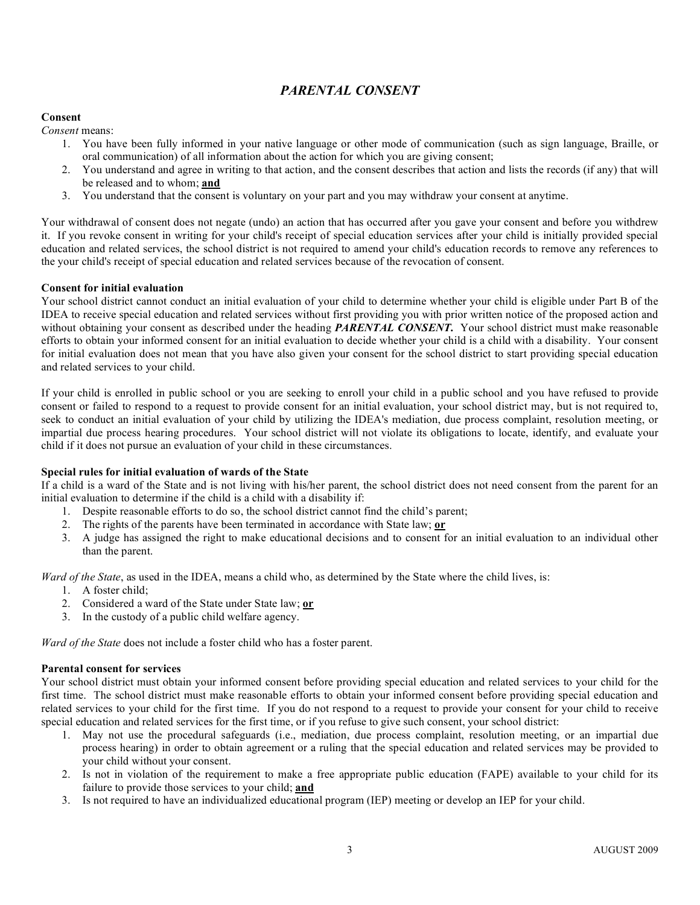# *PARENTAL CONSENT*

# **Consent**

*Consent* means:

- 1. You have been fully informed in your native language or other mode of communication (such as sign language, Braille, or oral communication) of all information about the action for which you are giving consent;
- 2. You understand and agree in writing to that action, and the consent describes that action and lists the records (if any) that will be released and to whom; **and**
- 3. You understand that the consent is voluntary on your part and you may withdraw your consent at anytime.

Your withdrawal of consent does not negate (undo) an action that has occurred after you gave your consent and before you withdrew it. If you revoke consent in writing for your child's receipt of special education services after your child is initially provided special education and related services, the school district is not required to amend your child's education records to remove any references to the your child's receipt of special education and related services because of the revocation of consent.

# **Consent for initial evaluation**

Your school district cannot conduct an initial evaluation of your child to determine whether your child is eligible under Part B of the IDEA to receive special education and related services without first providing you with prior written notice of the proposed action and without obtaining your consent as described under the heading *PARENTAL CONSENT.* Your school district must make reasonable efforts to obtain your informed consent for an initial evaluation to decide whether your child is a child with a disability. Your consent for initial evaluation does not mean that you have also given your consent for the school district to start providing special education and related services to your child.

If your child is enrolled in public school or you are seeking to enroll your child in a public school and you have refused to provide consent or failed to respond to a request to provide consent for an initial evaluation, your school district may, but is not required to, seek to conduct an initial evaluation of your child by utilizing the IDEA's mediation, due process complaint, resolution meeting, or impartial due process hearing procedures. Your school district will not violate its obligations to locate, identify, and evaluate your child if it does not pursue an evaluation of your child in these circumstances.

# **Special rules for initial evaluation of wards of the State**

If a child is a ward of the State and is not living with his/her parent, the school district does not need consent from the parent for an initial evaluation to determine if the child is a child with a disability if:

- 1. Despite reasonable efforts to do so, the school district cannot find the child's parent;
- 2. The rights of the parents have been terminated in accordance with State law; **or**
- 3. A judge has assigned the right to make educational decisions and to consent for an initial evaluation to an individual other than the parent.

*Ward of the State*, as used in the IDEA, means a child who, as determined by the State where the child lives, is:

- 1. A foster child;
- 2. Considered a ward of the State under State law; **or**
- 3. In the custody of a public child welfare agency.

*Ward of the State* does not include a foster child who has a foster parent.

# **Parental consent for services**

Your school district must obtain your informed consent before providing special education and related services to your child for the first time. The school district must make reasonable efforts to obtain your informed consent before providing special education and related services to your child for the first time. If you do not respond to a request to provide your consent for your child to receive special education and related services for the first time, or if you refuse to give such consent, your school district:

- 1. May not use the procedural safeguards (i.e., mediation, due process complaint, resolution meeting, or an impartial due process hearing) in order to obtain agreement or a ruling that the special education and related services may be provided to your child without your consent.
- 2. Is not in violation of the requirement to make a free appropriate public education (FAPE) available to your child for its failure to provide those services to your child; **and**
- 3. Is not required to have an individualized educational program (IEP) meeting or develop an IEP for your child.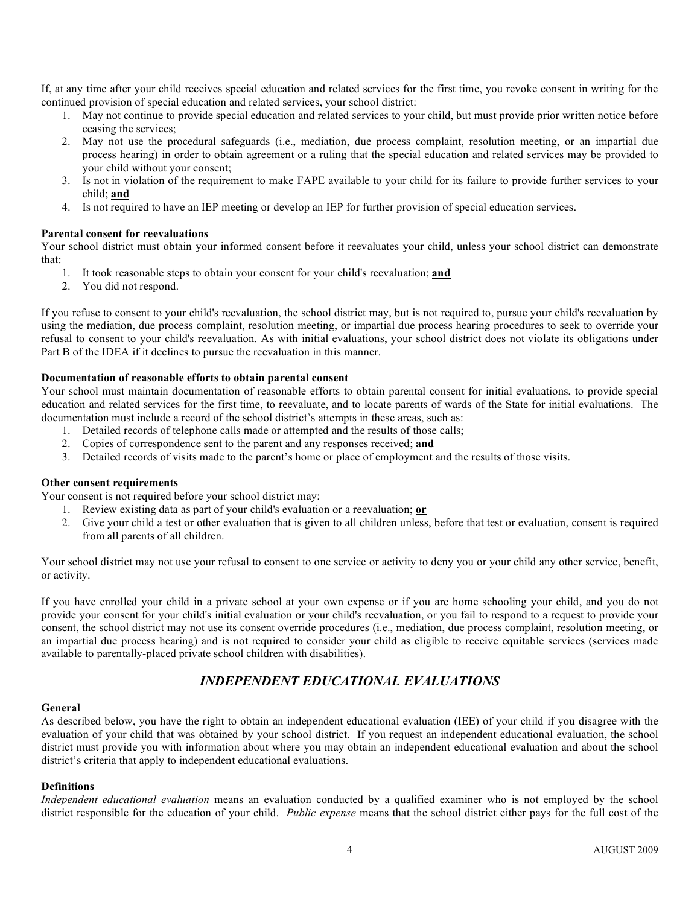If, at any time after your child receives special education and related services for the first time, you revoke consent in writing for the continued provision of special education and related services, your school district:

- 1. May not continue to provide special education and related services to your child, but must provide prior written notice before ceasing the services;
- 2. May not use the procedural safeguards (i.e., mediation, due process complaint, resolution meeting, or an impartial due process hearing) in order to obtain agreement or a ruling that the special education and related services may be provided to your child without your consent;
- 3. Is not in violation of the requirement to make FAPE available to your child for its failure to provide further services to your child; **and**
- 4. Is not required to have an IEP meeting or develop an IEP for further provision of special education services.

# **Parental consent for reevaluations**

Your school district must obtain your informed consent before it reevaluates your child, unless your school district can demonstrate that:

- 1. It took reasonable steps to obtain your consent for your child's reevaluation; **and**
- 2. You did not respond.

If you refuse to consent to your child's reevaluation, the school district may, but is not required to, pursue your child's reevaluation by using the mediation, due process complaint, resolution meeting, or impartial due process hearing procedures to seek to override your refusal to consent to your child's reevaluation. As with initial evaluations, your school district does not violate its obligations under Part B of the IDEA if it declines to pursue the reevaluation in this manner.

# **Documentation of reasonable efforts to obtain parental consent**

Your school must maintain documentation of reasonable efforts to obtain parental consent for initial evaluations, to provide special education and related services for the first time, to reevaluate, and to locate parents of wards of the State for initial evaluations. The documentation must include a record of the school district's attempts in these areas, such as:

- 1. Detailed records of telephone calls made or attempted and the results of those calls;
- 2. Copies of correspondence sent to the parent and any responses received; **and**
- 3. Detailed records of visits made to the parent's home or place of employment and the results of those visits.

# **Other consent requirements**

Your consent is not required before your school district may:

- 1. Review existing data as part of your child's evaluation or a reevaluation; **or**
- 2. Give your child a test or other evaluation that is given to all children unless, before that test or evaluation, consent is required from all parents of all children.

Your school district may not use your refusal to consent to one service or activity to deny you or your child any other service, benefit, or activity.

If you have enrolled your child in a private school at your own expense or if you are home schooling your child, and you do not provide your consent for your child's initial evaluation or your child's reevaluation, or you fail to respond to a request to provide your consent, the school district may not use its consent override procedures (i.e., mediation, due process complaint, resolution meeting, or an impartial due process hearing) and is not required to consider your child as eligible to receive equitable services (services made available to parentally-placed private school children with disabilities).

# *INDEPENDENT EDUCATIONAL EVALUATIONS*

#### **General**

As described below, you have the right to obtain an independent educational evaluation (IEE) of your child if you disagree with the evaluation of your child that was obtained by your school district. If you request an independent educational evaluation, the school district must provide you with information about where you may obtain an independent educational evaluation and about the school district's criteria that apply to independent educational evaluations.

#### **Definitions**

*Independent educational evaluation* means an evaluation conducted by a qualified examiner who is not employed by the school district responsible for the education of your child. *Public expense* means that the school district either pays for the full cost of the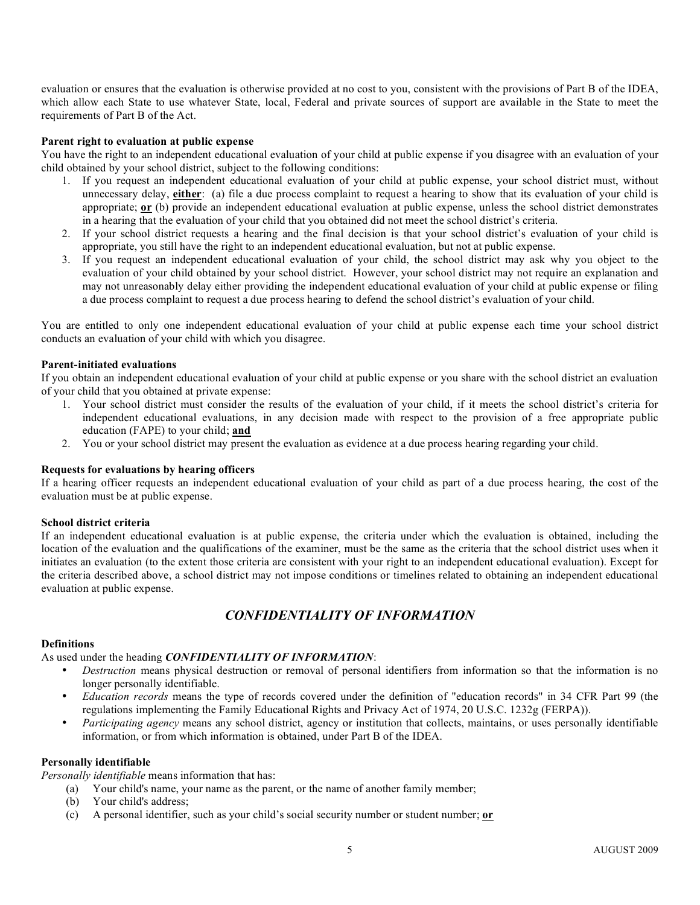evaluation or ensures that the evaluation is otherwise provided at no cost to you, consistent with the provisions of Part B of the IDEA, which allow each State to use whatever State, local, Federal and private sources of support are available in the State to meet the requirements of Part B of the Act.

# **Parent right to evaluation at public expense**

You have the right to an independent educational evaluation of your child at public expense if you disagree with an evaluation of your child obtained by your school district, subject to the following conditions:

- 1. If you request an independent educational evaluation of your child at public expense, your school district must, without unnecessary delay, **either**: (a) file a due process complaint to request a hearing to show that its evaluation of your child is appropriate; **or** (b) provide an independent educational evaluation at public expense, unless the school district demonstrates in a hearing that the evaluation of your child that you obtained did not meet the school district's criteria.
- 2. If your school district requests a hearing and the final decision is that your school district's evaluation of your child is appropriate, you still have the right to an independent educational evaluation, but not at public expense.
- 3. If you request an independent educational evaluation of your child, the school district may ask why you object to the evaluation of your child obtained by your school district. However, your school district may not require an explanation and may not unreasonably delay either providing the independent educational evaluation of your child at public expense or filing a due process complaint to request a due process hearing to defend the school district's evaluation of your child.

You are entitled to only one independent educational evaluation of your child at public expense each time your school district conducts an evaluation of your child with which you disagree.

# **Parent-initiated evaluations**

If you obtain an independent educational evaluation of your child at public expense or you share with the school district an evaluation of your child that you obtained at private expense:

- 1. Your school district must consider the results of the evaluation of your child, if it meets the school district's criteria for independent educational evaluations, in any decision made with respect to the provision of a free appropriate public education (FAPE) to your child; **and**
- 2. You or your school district may present the evaluation as evidence at a due process hearing regarding your child.

#### **Requests for evaluations by hearing officers**

If a hearing officer requests an independent educational evaluation of your child as part of a due process hearing, the cost of the evaluation must be at public expense.

#### **School district criteria**

If an independent educational evaluation is at public expense, the criteria under which the evaluation is obtained, including the location of the evaluation and the qualifications of the examiner, must be the same as the criteria that the school district uses when it initiates an evaluation (to the extent those criteria are consistent with your right to an independent educational evaluation). Except for the criteria described above, a school district may not impose conditions or timelines related to obtaining an independent educational evaluation at public expense.

# *CONFIDENTIALITY OF INFORMATION*

#### **Definitions**

As used under the heading *CONFIDENTIALITY OF INFORMATION*:

- *Destruction* means physical destruction or removal of personal identifiers from information so that the information is no longer personally identifiable.
- *Education records* means the type of records covered under the definition of "education records" in 34 CFR Part 99 (the regulations implementing the Family Educational Rights and Privacy Act of 1974, 20 U.S.C. 1232g (FERPA)).
- *Participating agency* means any school district, agency or institution that collects, maintains, or uses personally identifiable information, or from which information is obtained, under Part B of the IDEA.

# **Personally identifiable**

*Personally identifiable* means information that has:

- (a) Your child's name, your name as the parent, or the name of another family member;
- (b) Your child's address;
- (c) A personal identifier, such as your child's social security number or student number; **or**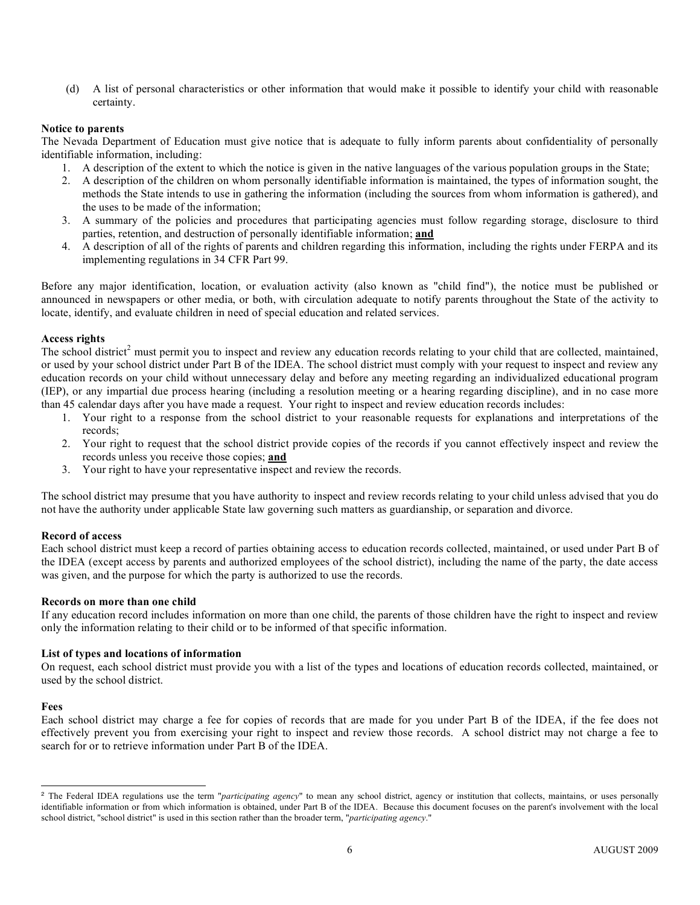(d) A list of personal characteristics or other information that would make it possible to identify your child with reasonable certainty.

#### **Notice to parents**

The Nevada Department of Education must give notice that is adequate to fully inform parents about confidentiality of personally identifiable information, including:

- 1. A description of the extent to which the notice is given in the native languages of the various population groups in the State;
- 2. A description of the children on whom personally identifiable information is maintained, the types of information sought, the methods the State intends to use in gathering the information (including the sources from whom information is gathered), and the uses to be made of the information;
- 3. A summary of the policies and procedures that participating agencies must follow regarding storage, disclosure to third parties, retention, and destruction of personally identifiable information; **and**
- 4. A description of all of the rights of parents and children regarding this information, including the rights under FERPA and its implementing regulations in 34 CFR Part 99.

Before any major identification, location, or evaluation activity (also known as "child find"), the notice must be published or announced in newspapers or other media, or both, with circulation adequate to notify parents throughout the State of the activity to locate, identify, and evaluate children in need of special education and related services.

# **Access rights**

The school district<sup>2</sup> must permit you to inspect and review any education records relating to your child that are collected, maintained, or used by your school district under Part B of the IDEA. The school district must comply with your request to inspect and review any education records on your child without unnecessary delay and before any meeting regarding an individualized educational program (IEP), or any impartial due process hearing (including a resolution meeting or a hearing regarding discipline), and in no case more than 45 calendar days after you have made a request. Your right to inspect and review education records includes:

- 1. Your right to a response from the school district to your reasonable requests for explanations and interpretations of the records;
- 2. Your right to request that the school district provide copies of the records if you cannot effectively inspect and review the records unless you receive those copies; **and**
- 3. Your right to have your representative inspect and review the records.

The school district may presume that you have authority to inspect and review records relating to your child unless advised that you do not have the authority under applicable State law governing such matters as guardianship, or separation and divorce.

# **Record of access**

Each school district must keep a record of parties obtaining access to education records collected, maintained, or used under Part B of the IDEA (except access by parents and authorized employees of the school district), including the name of the party, the date access was given, and the purpose for which the party is authorized to use the records.

#### **Records on more than one child**

If any education record includes information on more than one child, the parents of those children have the right to inspect and review only the information relating to their child or to be informed of that specific information.

#### **List of types and locations of information**

On request, each school district must provide you with a list of the types and locations of education records collected, maintained, or used by the school district.

#### **Fees**

Each school district may charge a fee for copies of records that are made for you under Part B of the IDEA, if the fee does not effectively prevent you from exercising your right to inspect and review those records. A school district may not charge a fee to search for or to retrieve information under Part B of the IDEA.

<sup>&</sup>lt;sup>2</sup> The Federal IDEA regulations use the term "*participating agency*" to mean any school district, agency or institution that collects, maintains, or uses personally identifiable information or from which information is obtained, under Part B of the IDEA. Because this document focuses on the parent's involvement with the local school district, "school district" is used in this section rather than the broader term, "*participating agency*."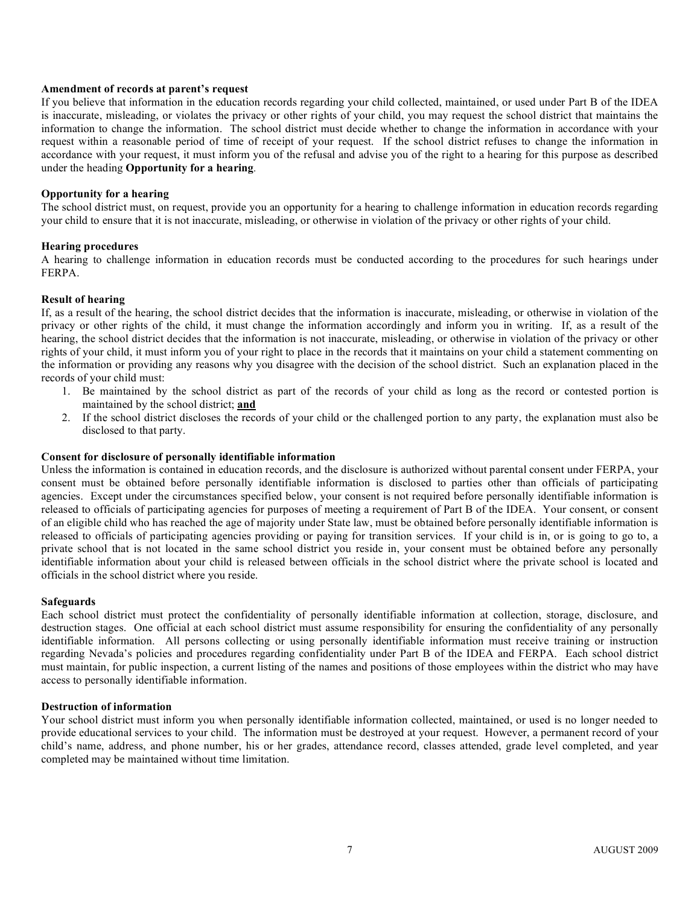#### **Amendment of records at parent's request**

If you believe that information in the education records regarding your child collected, maintained, or used under Part B of the IDEA is inaccurate, misleading, or violates the privacy or other rights of your child, you may request the school district that maintains the information to change the information. The school district must decide whether to change the information in accordance with your request within a reasonable period of time of receipt of your request. If the school district refuses to change the information in accordance with your request, it must inform you of the refusal and advise you of the right to a hearing for this purpose as described under the heading **Opportunity for a hearing***.*

#### **Opportunity for a hearing**

The school district must, on request, provide you an opportunity for a hearing to challenge information in education records regarding your child to ensure that it is not inaccurate, misleading, or otherwise in violation of the privacy or other rights of your child.

#### **Hearing procedures**

A hearing to challenge information in education records must be conducted according to the procedures for such hearings under FERPA.

#### **Result of hearing**

If, as a result of the hearing, the school district decides that the information is inaccurate, misleading, or otherwise in violation of the privacy or other rights of the child, it must change the information accordingly and inform you in writing. If, as a result of the hearing, the school district decides that the information is not inaccurate, misleading, or otherwise in violation of the privacy or other rights of your child, it must inform you of your right to place in the records that it maintains on your child a statement commenting on the information or providing any reasons why you disagree with the decision of the school district. Such an explanation placed in the records of your child must:

- 1. Be maintained by the school district as part of the records of your child as long as the record or contested portion is maintained by the school district; **and**
- 2. If the school district discloses the records of your child or the challenged portion to any party, the explanation must also be disclosed to that party.

#### **Consent for disclosure of personally identifiable information**

Unless the information is contained in education records, and the disclosure is authorized without parental consent under FERPA, your consent must be obtained before personally identifiable information is disclosed to parties other than officials of participating agencies. Except under the circumstances specified below, your consent is not required before personally identifiable information is released to officials of participating agencies for purposes of meeting a requirement of Part B of the IDEA. Your consent, or consent of an eligible child who has reached the age of majority under State law, must be obtained before personally identifiable information is released to officials of participating agencies providing or paying for transition services. If your child is in, or is going to go to, a private school that is not located in the same school district you reside in, your consent must be obtained before any personally identifiable information about your child is released between officials in the school district where the private school is located and officials in the school district where you reside.

#### **Safeguards**

Each school district must protect the confidentiality of personally identifiable information at collection, storage, disclosure, and destruction stages. One official at each school district must assume responsibility for ensuring the confidentiality of any personally identifiable information. All persons collecting or using personally identifiable information must receive training or instruction regarding Nevada's policies and procedures regarding confidentiality under Part B of the IDEA and FERPA. Each school district must maintain, for public inspection, a current listing of the names and positions of those employees within the district who may have access to personally identifiable information.

#### **Destruction of information**

Your school district must inform you when personally identifiable information collected, maintained, or used is no longer needed to provide educational services to your child. The information must be destroyed at your request. However, a permanent record of your child's name, address, and phone number, his or her grades, attendance record, classes attended, grade level completed, and year completed may be maintained without time limitation.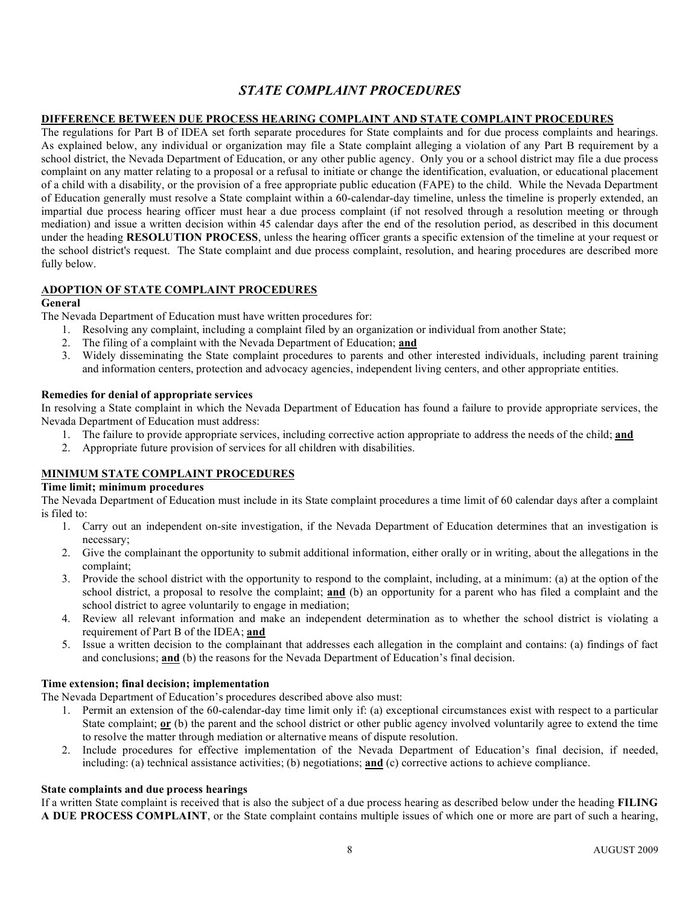# *STATE COMPLAINT PROCEDURES*

# **DIFFERENCE BETWEEN DUE PROCESS HEARING COMPLAINT AND STATE COMPLAINT PROCEDURES**

The regulations for Part B of IDEA set forth separate procedures for State complaints and for due process complaints and hearings. As explained below, any individual or organization may file a State complaint alleging a violation of any Part B requirement by a school district, the Nevada Department of Education, or any other public agency. Only you or a school district may file a due process complaint on any matter relating to a proposal or a refusal to initiate or change the identification, evaluation, or educational placement of a child with a disability, or the provision of a free appropriate public education (FAPE) to the child. While the Nevada Department of Education generally must resolve a State complaint within a 60-calendar-day timeline, unless the timeline is properly extended, an impartial due process hearing officer must hear a due process complaint (if not resolved through a resolution meeting or through mediation) and issue a written decision within 45 calendar days after the end of the resolution period, as described in this document under the heading **RESOLUTION PROCESS**, unless the hearing officer grants a specific extension of the timeline at your request or the school district's request. The State complaint and due process complaint, resolution, and hearing procedures are described more fully below.

# **ADOPTION OF STATE COMPLAINT PROCEDURES**

# **General**

The Nevada Department of Education must have written procedures for:

- 1. Resolving any complaint, including a complaint filed by an organization or individual from another State;
- 2. The filing of a complaint with the Nevada Department of Education; **and**
- 3. Widely disseminating the State complaint procedures to parents and other interested individuals, including parent training and information centers, protection and advocacy agencies, independent living centers, and other appropriate entities.

# **Remedies for denial of appropriate services**

In resolving a State complaint in which the Nevada Department of Education has found a failure to provide appropriate services, the Nevada Department of Education must address:

- 1. The failure to provide appropriate services, including corrective action appropriate to address the needs of the child; **and**
- 2. Appropriate future provision of services for all children with disabilities.

# **MINIMUM STATE COMPLAINT PROCEDURES**

# **Time limit; minimum procedures**

The Nevada Department of Education must include in its State complaint procedures a time limit of 60 calendar days after a complaint is filed to:

- 1. Carry out an independent on-site investigation, if the Nevada Department of Education determines that an investigation is necessary;
- 2. Give the complainant the opportunity to submit additional information, either orally or in writing, about the allegations in the complaint;
- 3. Provide the school district with the opportunity to respond to the complaint, including, at a minimum: (a) at the option of the school district, a proposal to resolve the complaint; **and** (b) an opportunity for a parent who has filed a complaint and the school district to agree voluntarily to engage in mediation;
- 4. Review all relevant information and make an independent determination as to whether the school district is violating a requirement of Part B of the IDEA; **and**
- 5. Issue a written decision to the complainant that addresses each allegation in the complaint and contains: (a) findings of fact and conclusions; **and** (b) the reasons for the Nevada Department of Education's final decision.

# **Time extension; final decision; implementation**

The Nevada Department of Education's procedures described above also must:

- 1. Permit an extension of the 60-calendar-day time limit only if: (a) exceptional circumstances exist with respect to a particular State complaint; **or** (b) the parent and the school district or other public agency involved voluntarily agree to extend the time to resolve the matter through mediation or alternative means of dispute resolution.
- 2. Include procedures for effective implementation of the Nevada Department of Education's final decision, if needed, including: (a) technical assistance activities; (b) negotiations; **and** (c) corrective actions to achieve compliance.

# **State complaints and due process hearings**

If a written State complaint is received that is also the subject of a due process hearing as described below under the heading **FILING A DUE PROCESS COMPLAINT**, or the State complaint contains multiple issues of which one or more are part of such a hearing,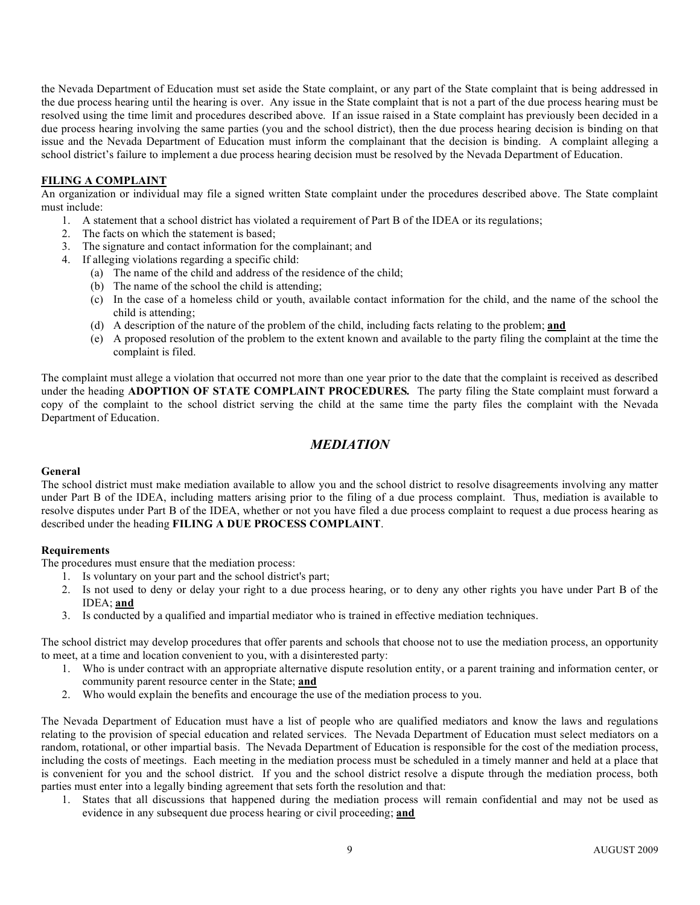the Nevada Department of Education must set aside the State complaint, or any part of the State complaint that is being addressed in the due process hearing until the hearing is over. Any issue in the State complaint that is not a part of the due process hearing must be resolved using the time limit and procedures described above. If an issue raised in a State complaint has previously been decided in a due process hearing involving the same parties (you and the school district), then the due process hearing decision is binding on that issue and the Nevada Department of Education must inform the complainant that the decision is binding. A complaint alleging a school district's failure to implement a due process hearing decision must be resolved by the Nevada Department of Education.

# **FILING A COMPLAINT**

An organization or individual may file a signed written State complaint under the procedures described above. The State complaint must include:

- 1. A statement that a school district has violated a requirement of Part B of the IDEA or its regulations;
- 2. The facts on which the statement is based;
- 3. The signature and contact information for the complainant; and
- 4. If alleging violations regarding a specific child:
	- (a) The name of the child and address of the residence of the child;
	- (b) The name of the school the child is attending;
	- (c) In the case of a homeless child or youth, available contact information for the child, and the name of the school the child is attending;
	- (d) A description of the nature of the problem of the child, including facts relating to the problem; **and**
	- (e) A proposed resolution of the problem to the extent known and available to the party filing the complaint at the time the complaint is filed.

The complaint must allege a violation that occurred not more than one year prior to the date that the complaint is received as described under the heading **ADOPTION OF STATE COMPLAINT PROCEDURES***.* The party filing the State complaint must forward a copy of the complaint to the school district serving the child at the same time the party files the complaint with the Nevada Department of Education.

# *MEDIATION*

#### **General**

The school district must make mediation available to allow you and the school district to resolve disagreements involving any matter under Part B of the IDEA, including matters arising prior to the filing of a due process complaint. Thus, mediation is available to resolve disputes under Part B of the IDEA, whether or not you have filed a due process complaint to request a due process hearing as described under the heading **FILING A DUE PROCESS COMPLAINT**.

#### **Requirements**

The procedures must ensure that the mediation process:

- 1. Is voluntary on your part and the school district's part;
- 2. Is not used to deny or delay your right to a due process hearing, or to deny any other rights you have under Part B of the IDEA; **and**
- 3. Is conducted by a qualified and impartial mediator who is trained in effective mediation techniques.

The school district may develop procedures that offer parents and schools that choose not to use the mediation process, an opportunity to meet, at a time and location convenient to you, with a disinterested party:

- 1. Who is under contract with an appropriate alternative dispute resolution entity, or a parent training and information center, or community parent resource center in the State; **and**
- 2. Who would explain the benefits and encourage the use of the mediation process to you.

The Nevada Department of Education must have a list of people who are qualified mediators and know the laws and regulations relating to the provision of special education and related services. The Nevada Department of Education must select mediators on a random, rotational, or other impartial basis. The Nevada Department of Education is responsible for the cost of the mediation process, including the costs of meetings. Each meeting in the mediation process must be scheduled in a timely manner and held at a place that is convenient for you and the school district. If you and the school district resolve a dispute through the mediation process, both parties must enter into a legally binding agreement that sets forth the resolution and that:

1. States that all discussions that happened during the mediation process will remain confidential and may not be used as evidence in any subsequent due process hearing or civil proceeding; **and**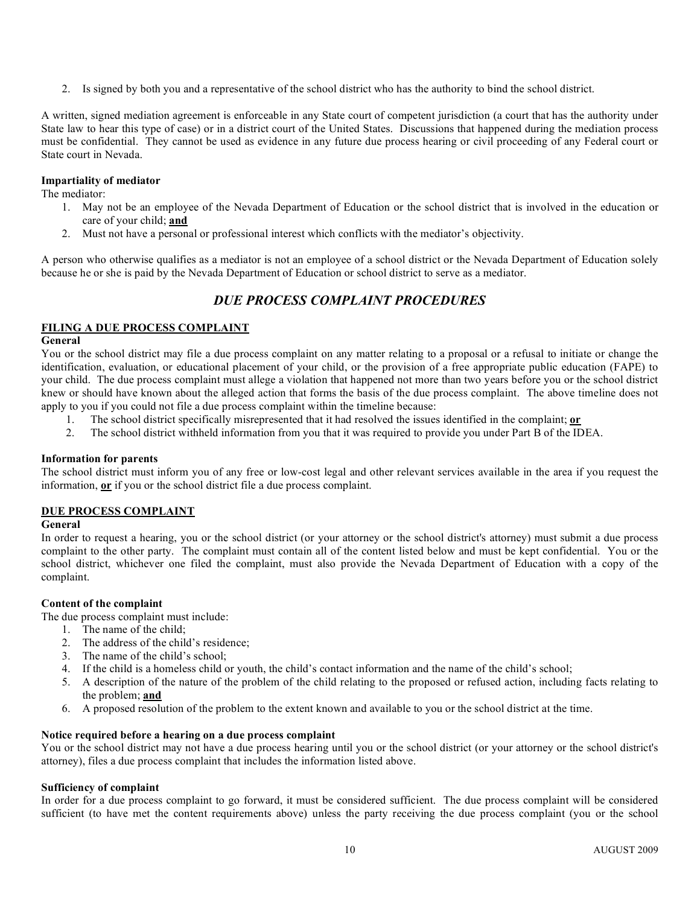2. Is signed by both you and a representative of the school district who has the authority to bind the school district.

A written, signed mediation agreement is enforceable in any State court of competent jurisdiction (a court that has the authority under State law to hear this type of case) or in a district court of the United States. Discussions that happened during the mediation process must be confidential. They cannot be used as evidence in any future due process hearing or civil proceeding of any Federal court or State court in Nevada.

# **Impartiality of mediator**

The mediator:

- 1. May not be an employee of the Nevada Department of Education or the school district that is involved in the education or care of your child; **and**
- 2. Must not have a personal or professional interest which conflicts with the mediator's objectivity.

A person who otherwise qualifies as a mediator is not an employee of a school district or the Nevada Department of Education solely because he or she is paid by the Nevada Department of Education or school district to serve as a mediator.

# *DUE PROCESS COMPLAINT PROCEDURES*

# **FILING A DUE PROCESS COMPLAINT**

#### **General**

You or the school district may file a due process complaint on any matter relating to a proposal or a refusal to initiate or change the identification, evaluation, or educational placement of your child, or the provision of a free appropriate public education (FAPE) to your child. The due process complaint must allege a violation that happened not more than two years before you or the school district knew or should have known about the alleged action that forms the basis of the due process complaint. The above timeline does not apply to you if you could not file a due process complaint within the timeline because:

- 1. The school district specifically misrepresented that it had resolved the issues identified in the complaint; **or**
- 2. The school district withheld information from you that it was required to provide you under Part B of the IDEA.

# **Information for parents**

The school district must inform you of any free or low-cost legal and other relevant services available in the area if you request the information, **or** if you or the school district file a due process complaint.

# **DUE PROCESS COMPLAINT**

#### **General**

In order to request a hearing, you or the school district (or your attorney or the school district's attorney) must submit a due process complaint to the other party. The complaint must contain all of the content listed below and must be kept confidential. You or the school district, whichever one filed the complaint, must also provide the Nevada Department of Education with a copy of the complaint.

#### **Content of the complaint**

The due process complaint must include:

- 1. The name of the child;
- 2. The address of the child's residence;
- 3. The name of the child's school;
- 4. If the child is a homeless child or youth, the child's contact information and the name of the child's school;
- 5. A description of the nature of the problem of the child relating to the proposed or refused action, including facts relating to the problem; **and**
- 6. A proposed resolution of the problem to the extent known and available to you or the school district at the time.

#### **Notice required before a hearing on a due process complaint**

You or the school district may not have a due process hearing until you or the school district (or your attorney or the school district's attorney), files a due process complaint that includes the information listed above.

#### **Sufficiency of complaint**

In order for a due process complaint to go forward, it must be considered sufficient. The due process complaint will be considered sufficient (to have met the content requirements above) unless the party receiving the due process complaint (you or the school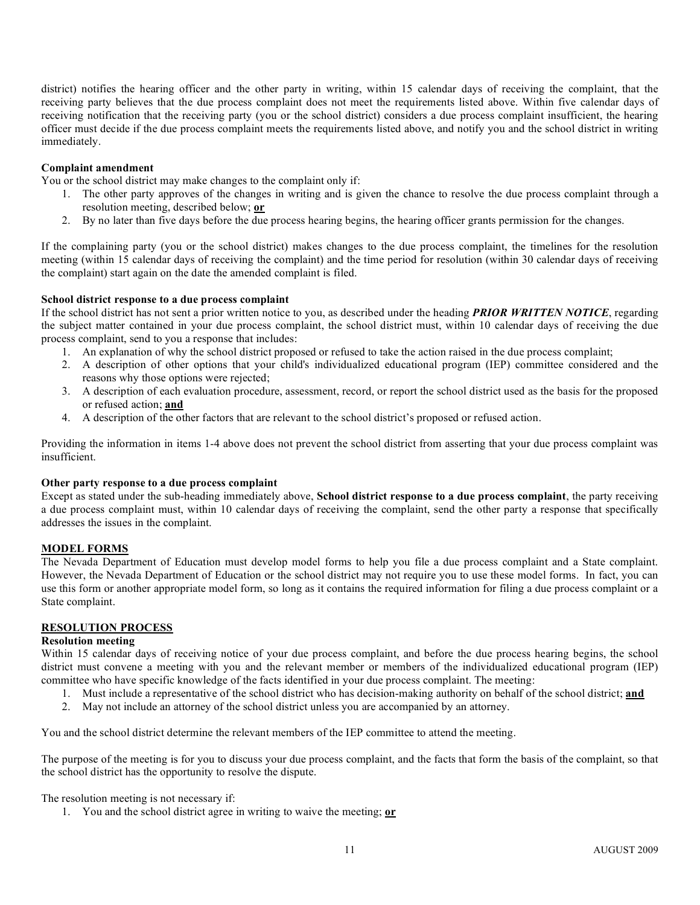district) notifies the hearing officer and the other party in writing, within 15 calendar days of receiving the complaint, that the receiving party believes that the due process complaint does not meet the requirements listed above. Within five calendar days of receiving notification that the receiving party (you or the school district) considers a due process complaint insufficient, the hearing officer must decide if the due process complaint meets the requirements listed above, and notify you and the school district in writing immediately.

# **Complaint amendment**

You or the school district may make changes to the complaint only if:

- 1. The other party approves of the changes in writing and is given the chance to resolve the due process complaint through a resolution meeting, described below; **or**
- 2. By no later than five days before the due process hearing begins, the hearing officer grants permission for the changes.

If the complaining party (you or the school district) makes changes to the due process complaint, the timelines for the resolution meeting (within 15 calendar days of receiving the complaint) and the time period for resolution (within 30 calendar days of receiving the complaint) start again on the date the amended complaint is filed.

#### **School district response to a due process complaint**

If the school district has not sent a prior written notice to you, as described under the heading *PRIOR WRITTEN NOTICE*, regarding the subject matter contained in your due process complaint, the school district must, within 10 calendar days of receiving the due process complaint, send to you a response that includes:

- 1. An explanation of why the school district proposed or refused to take the action raised in the due process complaint;
- 2. A description of other options that your child's individualized educational program (IEP) committee considered and the reasons why those options were rejected;
- 3. A description of each evaluation procedure, assessment, record, or report the school district used as the basis for the proposed or refused action; **and**
- 4. A description of the other factors that are relevant to the school district's proposed or refused action.

Providing the information in items 1-4 above does not prevent the school district from asserting that your due process complaint was insufficient.

#### **Other party response to a due process complaint**

Except as stated under the sub-heading immediately above, **School district response to a due process complaint**, the party receiving a due process complaint must, within 10 calendar days of receiving the complaint, send the other party a response that specifically addresses the issues in the complaint.

#### **MODEL FORMS**

The Nevada Department of Education must develop model forms to help you file a due process complaint and a State complaint. However, the Nevada Department of Education or the school district may not require you to use these model forms. In fact, you can use this form or another appropriate model form, so long as it contains the required information for filing a due process complaint or a State complaint.

# **RESOLUTION PROCESS**

## **Resolution meeting**

Within 15 calendar days of receiving notice of your due process complaint, and before the due process hearing begins, the school district must convene a meeting with you and the relevant member or members of the individualized educational program (IEP) committee who have specific knowledge of the facts identified in your due process complaint. The meeting:

- 1. Must include a representative of the school district who has decision-making authority on behalf of the school district; **and**
- 2. May not include an attorney of the school district unless you are accompanied by an attorney.

You and the school district determine the relevant members of the IEP committee to attend the meeting.

The purpose of the meeting is for you to discuss your due process complaint, and the facts that form the basis of the complaint, so that the school district has the opportunity to resolve the dispute.

The resolution meeting is not necessary if:

1. You and the school district agree in writing to waive the meeting; **or**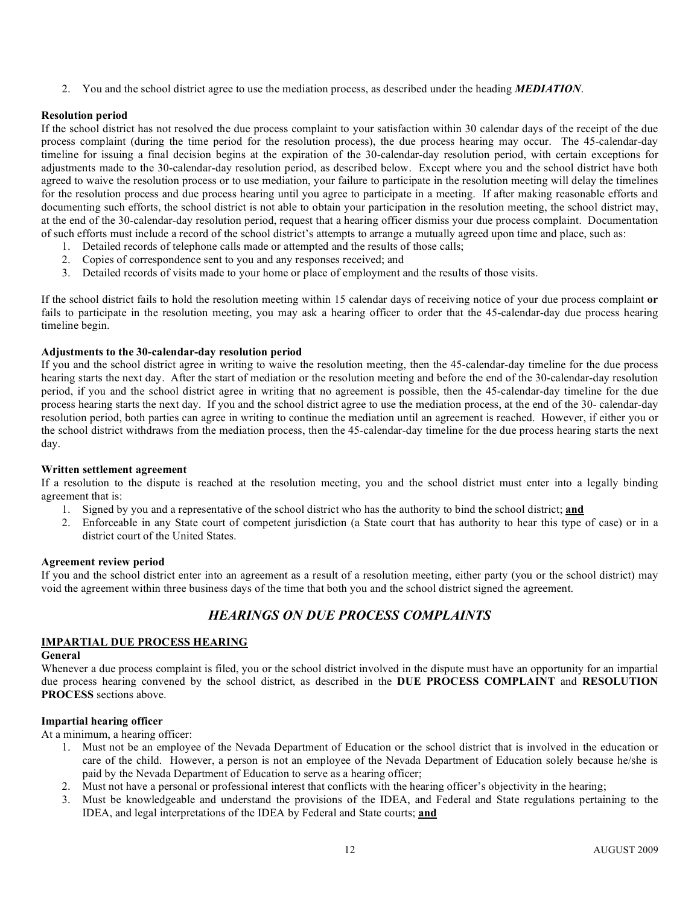2. You and the school district agree to use the mediation process, as described under the heading *MEDIATION*.

# **Resolution period**

If the school district has not resolved the due process complaint to your satisfaction within 30 calendar days of the receipt of the due process complaint (during the time period for the resolution process), the due process hearing may occur. The 45-calendar-day timeline for issuing a final decision begins at the expiration of the 30-calendar-day resolution period, with certain exceptions for adjustments made to the 30-calendar-day resolution period, as described below. Except where you and the school district have both agreed to waive the resolution process or to use mediation, your failure to participate in the resolution meeting will delay the timelines for the resolution process and due process hearing until you agree to participate in a meeting. If after making reasonable efforts and documenting such efforts, the school district is not able to obtain your participation in the resolution meeting, the school district may, at the end of the 30-calendar-day resolution period, request that a hearing officer dismiss your due process complaint. Documentation of such efforts must include a record of the school district's attempts to arrange a mutually agreed upon time and place, such as:

- 1. Detailed records of telephone calls made or attempted and the results of those calls;
- 2. Copies of correspondence sent to you and any responses received; and
- 3. Detailed records of visits made to your home or place of employment and the results of those visits.

If the school district fails to hold the resolution meeting within 15 calendar days of receiving notice of your due process complaint **or** fails to participate in the resolution meeting, you may ask a hearing officer to order that the 45-calendar-day due process hearing timeline begin.

#### **Adjustments to the 30-calendar-day resolution period**

If you and the school district agree in writing to waive the resolution meeting, then the 45-calendar-day timeline for the due process hearing starts the next day. After the start of mediation or the resolution meeting and before the end of the 30-calendar-day resolution period, if you and the school district agree in writing that no agreement is possible, then the 45-calendar-day timeline for the due process hearing starts the next day. If you and the school district agree to use the mediation process, at the end of the 30- calendar-day resolution period, both parties can agree in writing to continue the mediation until an agreement is reached. However, if either you or the school district withdraws from the mediation process, then the 45-calendar-day timeline for the due process hearing starts the next day.

#### **Written settlement agreement**

If a resolution to the dispute is reached at the resolution meeting, you and the school district must enter into a legally binding agreement that is:

- 1. Signed by you and a representative of the school district who has the authority to bind the school district; **and**
- 2. Enforceable in any State court of competent jurisdiction (a State court that has authority to hear this type of case) or in a district court of the United States.

#### **Agreement review period**

If you and the school district enter into an agreement as a result of a resolution meeting, either party (you or the school district) may void the agreement within three business days of the time that both you and the school district signed the agreement.

# *HEARINGS ON DUE PROCESS COMPLAINTS*

#### **IMPARTIAL DUE PROCESS HEARING**

#### **General**

Whenever a due process complaint is filed, you or the school district involved in the dispute must have an opportunity for an impartial due process hearing convened by the school district, as described in the **DUE PROCESS COMPLAINT** and **RESOLUTION PROCESS** sections above.

#### **Impartial hearing officer**

At a minimum, a hearing officer:

- 1. Must not be an employee of the Nevada Department of Education or the school district that is involved in the education or care of the child. However, a person is not an employee of the Nevada Department of Education solely because he/she is paid by the Nevada Department of Education to serve as a hearing officer;
- 2. Must not have a personal or professional interest that conflicts with the hearing officer's objectivity in the hearing;
- 3. Must be knowledgeable and understand the provisions of the IDEA, and Federal and State regulations pertaining to the IDEA, and legal interpretations of the IDEA by Federal and State courts; **and**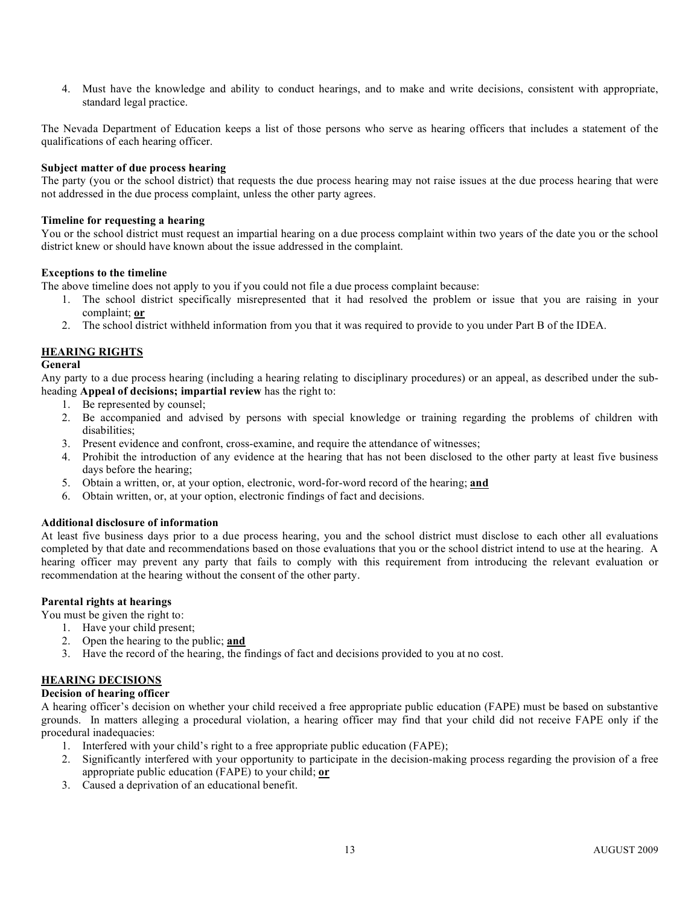4. Must have the knowledge and ability to conduct hearings, and to make and write decisions, consistent with appropriate, standard legal practice.

The Nevada Department of Education keeps a list of those persons who serve as hearing officers that includes a statement of the qualifications of each hearing officer.

#### **Subject matter of due process hearing**

The party (you or the school district) that requests the due process hearing may not raise issues at the due process hearing that were not addressed in the due process complaint, unless the other party agrees.

#### **Timeline for requesting a hearing**

You or the school district must request an impartial hearing on a due process complaint within two years of the date you or the school district knew or should have known about the issue addressed in the complaint.

#### **Exceptions to the timeline**

The above timeline does not apply to you if you could not file a due process complaint because:

- 1. The school district specifically misrepresented that it had resolved the problem or issue that you are raising in your complaint; **or**
- 2. The school district withheld information from you that it was required to provide to you under Part B of the IDEA.

# **HEARING RIGHTS**

#### **General**

Any party to a due process hearing (including a hearing relating to disciplinary procedures) or an appeal, as described under the subheading **Appeal of decisions; impartial review** has the right to:

- 1. Be represented by counsel;
- 2. Be accompanied and advised by persons with special knowledge or training regarding the problems of children with disabilities;
- 3. Present evidence and confront, cross-examine, and require the attendance of witnesses;
- 4. Prohibit the introduction of any evidence at the hearing that has not been disclosed to the other party at least five business days before the hearing;
- 5. Obtain a written, or, at your option, electronic, word-for-word record of the hearing; **and**
- 6. Obtain written, or, at your option, electronic findings of fact and decisions.

# **Additional disclosure of information**

At least five business days prior to a due process hearing, you and the school district must disclose to each other all evaluations completed by that date and recommendations based on those evaluations that you or the school district intend to use at the hearing. A hearing officer may prevent any party that fails to comply with this requirement from introducing the relevant evaluation or recommendation at the hearing without the consent of the other party.

#### **Parental rights at hearings**

You must be given the right to:

- 1. Have your child present;
- 2. Open the hearing to the public; **and**
- 3. Have the record of the hearing, the findings of fact and decisions provided to you at no cost.

# **HEARING DECISIONS**

# **Decision of hearing officer**

A hearing officer's decision on whether your child received a free appropriate public education (FAPE) must be based on substantive grounds. In matters alleging a procedural violation, a hearing officer may find that your child did not receive FAPE only if the procedural inadequacies:

- 1. Interfered with your child's right to a free appropriate public education (FAPE);
- 2. Significantly interfered with your opportunity to participate in the decision-making process regarding the provision of a free appropriate public education (FAPE) to your child; **or**
- 3. Caused a deprivation of an educational benefit.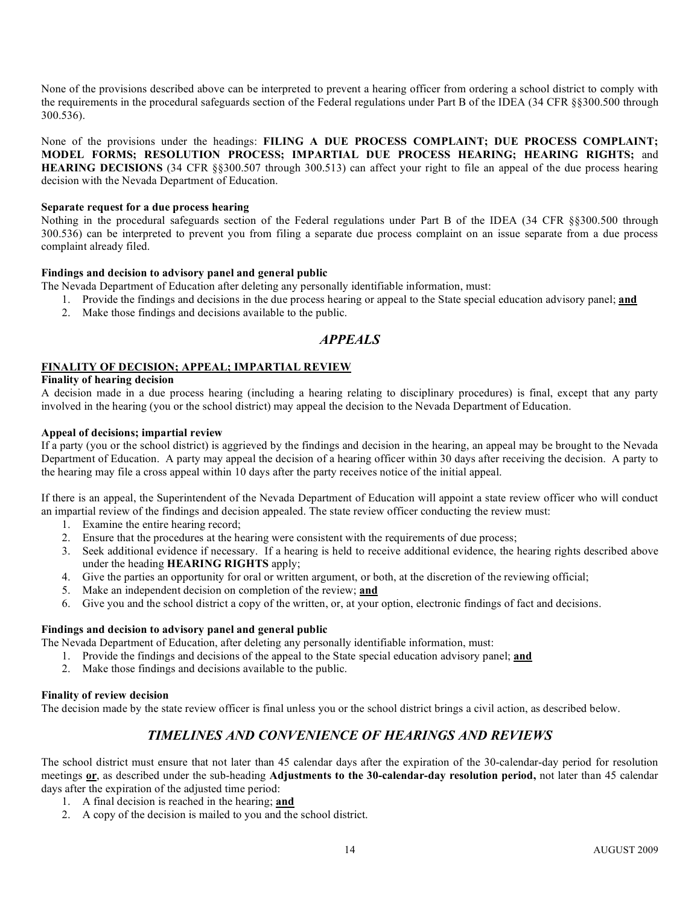None of the provisions described above can be interpreted to prevent a hearing officer from ordering a school district to comply with the requirements in the procedural safeguards section of the Federal regulations under Part B of the IDEA (34 CFR §§300.500 through 300.536).

None of the provisions under the headings: **FILING A DUE PROCESS COMPLAINT; DUE PROCESS COMPLAINT; MODEL FORMS; RESOLUTION PROCESS; IMPARTIAL DUE PROCESS HEARING; HEARING RIGHTS;** and **HEARING DECISIONS** (34 CFR §§300.507 through 300.513) can affect your right to file an appeal of the due process hearing decision with the Nevada Department of Education.

# **Separate request for a due process hearing**

Nothing in the procedural safeguards section of the Federal regulations under Part B of the IDEA (34 CFR §§300.500 through 300.536) can be interpreted to prevent you from filing a separate due process complaint on an issue separate from a due process complaint already filed.

# **Findings and decision to advisory panel and general public**

The Nevada Department of Education after deleting any personally identifiable information, must:

- 1. Provide the findings and decisions in the due process hearing or appeal to the State special education advisory panel; **and**
- 2. Make those findings and decisions available to the public.

# *APPEALS*

# **FINALITY OF DECISION; APPEAL; IMPARTIAL REVIEW**

#### **Finality of hearing decision**

A decision made in a due process hearing (including a hearing relating to disciplinary procedures) is final, except that any party involved in the hearing (you or the school district) may appeal the decision to the Nevada Department of Education.

#### **Appeal of decisions; impartial review**

If a party (you or the school district) is aggrieved by the findings and decision in the hearing, an appeal may be brought to the Nevada Department of Education. A party may appeal the decision of a hearing officer within 30 days after receiving the decision. A party to the hearing may file a cross appeal within 10 days after the party receives notice of the initial appeal.

If there is an appeal, the Superintendent of the Nevada Department of Education will appoint a state review officer who will conduct an impartial review of the findings and decision appealed. The state review officer conducting the review must:

- 1. Examine the entire hearing record;
- 2. Ensure that the procedures at the hearing were consistent with the requirements of due process;
- 3. Seek additional evidence if necessary. If a hearing is held to receive additional evidence, the hearing rights described above under the heading **HEARING RIGHTS** apply;
- 4. Give the parties an opportunity for oral or written argument, or both, at the discretion of the reviewing official;
- 5. Make an independent decision on completion of the review; **and**
- 6. Give you and the school district a copy of the written, or, at your option, electronic findings of fact and decisions.

#### **Findings and decision to advisory panel and general public**

The Nevada Department of Education, after deleting any personally identifiable information, must:

- 1. Provide the findings and decisions of the appeal to the State special education advisory panel; **and**
- 2. Make those findings and decisions available to the public.

#### **Finality of review decision**

The decision made by the state review officer is final unless you or the school district brings a civil action, as described below.

# *TIMELINES AND CONVENIENCE OF HEARINGS AND REVIEWS*

The school district must ensure that not later than 45 calendar days after the expiration of the 30-calendar-day period for resolution meetings **or**, as described under the sub-heading **Adjustments to the 30-calendar-day resolution period,** not later than 45 calendar days after the expiration of the adjusted time period:

- 1. A final decision is reached in the hearing; **and**
- 2. A copy of the decision is mailed to you and the school district.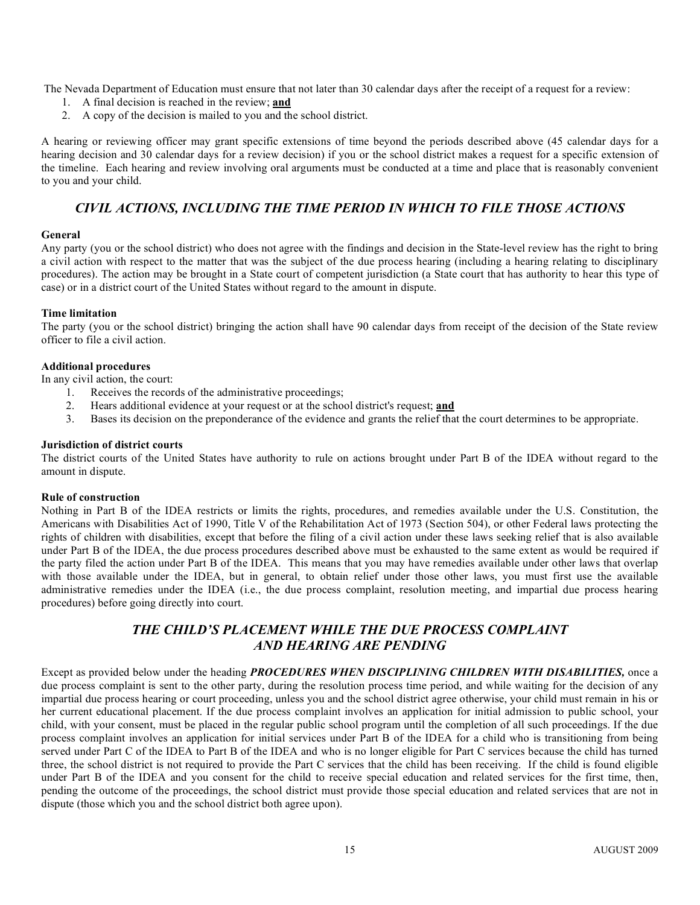The Nevada Department of Education must ensure that not later than 30 calendar days after the receipt of a request for a review:

- 1. A final decision is reached in the review; **and**
- 2. A copy of the decision is mailed to you and the school district.

A hearing or reviewing officer may grant specific extensions of time beyond the periods described above (45 calendar days for a hearing decision and 30 calendar days for a review decision) if you or the school district makes a request for a specific extension of the timeline. Each hearing and review involving oral arguments must be conducted at a time and place that is reasonably convenient to you and your child.

# *CIVIL ACTIONS, INCLUDING THE TIME PERIOD IN WHICH TO FILE THOSE ACTIONS*

# **General**

Any party (you or the school district) who does not agree with the findings and decision in the State-level review has the right to bring a civil action with respect to the matter that was the subject of the due process hearing (including a hearing relating to disciplinary procedures). The action may be brought in a State court of competent jurisdiction (a State court that has authority to hear this type of case) or in a district court of the United States without regard to the amount in dispute.

# **Time limitation**

The party (you or the school district) bringing the action shall have 90 calendar days from receipt of the decision of the State review officer to file a civil action.

# **Additional procedures**

In any civil action, the court:

- 1. Receives the records of the administrative proceedings;
- 2. Hears additional evidence at your request or at the school district's request; **and**
- 3. Bases its decision on the preponderance of the evidence and grants the relief that the court determines to be appropriate.

#### **Jurisdiction of district courts**

The district courts of the United States have authority to rule on actions brought under Part B of the IDEA without regard to the amount in dispute.

#### **Rule of construction**

Nothing in Part B of the IDEA restricts or limits the rights, procedures, and remedies available under the U.S. Constitution, the Americans with Disabilities Act of 1990, Title V of the Rehabilitation Act of 1973 (Section 504), or other Federal laws protecting the rights of children with disabilities, except that before the filing of a civil action under these laws seeking relief that is also available under Part B of the IDEA, the due process procedures described above must be exhausted to the same extent as would be required if the party filed the action under Part B of the IDEA. This means that you may have remedies available under other laws that overlap with those available under the IDEA, but in general, to obtain relief under those other laws, you must first use the available administrative remedies under the IDEA (i.e., the due process complaint, resolution meeting, and impartial due process hearing procedures) before going directly into court.

# *THE CHILD'S PLACEMENT WHILE THE DUE PROCESS COMPLAINT AND HEARING ARE PENDING*

Except as provided below under the heading *PROCEDURES WHEN DISCIPLINING CHILDREN WITH DISABILITIES,* once a due process complaint is sent to the other party, during the resolution process time period, and while waiting for the decision of any impartial due process hearing or court proceeding, unless you and the school district agree otherwise, your child must remain in his or her current educational placement. If the due process complaint involves an application for initial admission to public school, your child, with your consent, must be placed in the regular public school program until the completion of all such proceedings. If the due process complaint involves an application for initial services under Part B of the IDEA for a child who is transitioning from being served under Part C of the IDEA to Part B of the IDEA and who is no longer eligible for Part C services because the child has turned three, the school district is not required to provide the Part C services that the child has been receiving. If the child is found eligible under Part B of the IDEA and you consent for the child to receive special education and related services for the first time, then, pending the outcome of the proceedings, the school district must provide those special education and related services that are not in dispute (those which you and the school district both agree upon).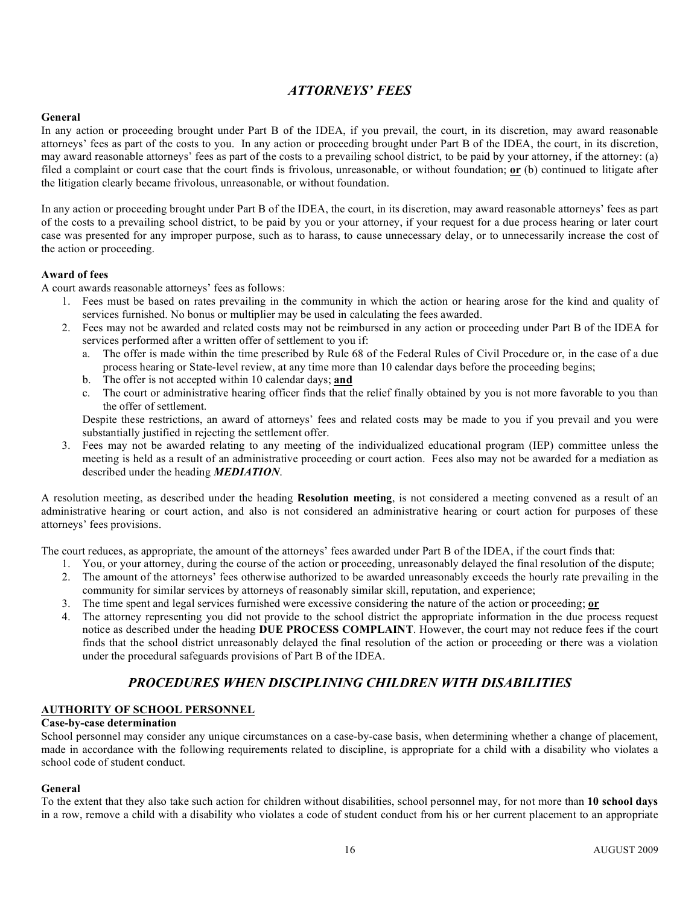# *ATTORNEYS' FEES*

#### **General**

In any action or proceeding brought under Part B of the IDEA, if you prevail, the court, in its discretion, may award reasonable attorneys' fees as part of the costs to you. In any action or proceeding brought under Part B of the IDEA, the court, in its discretion, may award reasonable attorneys' fees as part of the costs to a prevailing school district, to be paid by your attorney, if the attorney: (a) filed a complaint or court case that the court finds is frivolous, unreasonable, or without foundation; **or** (b) continued to litigate after the litigation clearly became frivolous, unreasonable, or without foundation.

In any action or proceeding brought under Part B of the IDEA, the court, in its discretion, may award reasonable attorneys' fees as part of the costs to a prevailing school district, to be paid by you or your attorney, if your request for a due process hearing or later court case was presented for any improper purpose, such as to harass, to cause unnecessary delay, or to unnecessarily increase the cost of the action or proceeding.

# **Award of fees**

A court awards reasonable attorneys' fees as follows:

- 1. Fees must be based on rates prevailing in the community in which the action or hearing arose for the kind and quality of services furnished. No bonus or multiplier may be used in calculating the fees awarded.
- 2. Fees may not be awarded and related costs may not be reimbursed in any action or proceeding under Part B of the IDEA for services performed after a written offer of settlement to you if:
	- a. The offer is made within the time prescribed by Rule 68 of the Federal Rules of Civil Procedure or, in the case of a due process hearing or State-level review, at any time more than 10 calendar days before the proceeding begins;
	- b. The offer is not accepted within 10 calendar days; **and**
	- c. The court or administrative hearing officer finds that the relief finally obtained by you is not more favorable to you than the offer of settlement.

Despite these restrictions, an award of attorneys' fees and related costs may be made to you if you prevail and you were substantially justified in rejecting the settlement offer.

3. Fees may not be awarded relating to any meeting of the individualized educational program (IEP) committee unless the meeting is held as a result of an administrative proceeding or court action. Fees also may not be awarded for a mediation as described under the heading *MEDIATION*.

A resolution meeting, as described under the heading **Resolution meeting**, is not considered a meeting convened as a result of an administrative hearing or court action, and also is not considered an administrative hearing or court action for purposes of these attorneys' fees provisions.

The court reduces, as appropriate, the amount of the attorneys' fees awarded under Part B of the IDEA, if the court finds that:

- 1. You, or your attorney, during the course of the action or proceeding, unreasonably delayed the final resolution of the dispute;
- 2. The amount of the attorneys' fees otherwise authorized to be awarded unreasonably exceeds the hourly rate prevailing in the community for similar services by attorneys of reasonably similar skill, reputation, and experience;
- 3. The time spent and legal services furnished were excessive considering the nature of the action or proceeding; **or**
- 4. The attorney representing you did not provide to the school district the appropriate information in the due process request notice as described under the heading **DUE PROCESS COMPLAINT**. However, the court may not reduce fees if the court finds that the school district unreasonably delayed the final resolution of the action or proceeding or there was a violation under the procedural safeguards provisions of Part B of the IDEA.

# *PROCEDURES WHEN DISCIPLINING CHILDREN WITH DISABILITIES*

# **AUTHORITY OF SCHOOL PERSONNEL**

#### **Case-by-case determination**

School personnel may consider any unique circumstances on a case-by-case basis, when determining whether a change of placement, made in accordance with the following requirements related to discipline, is appropriate for a child with a disability who violates a school code of student conduct.

# **General**

To the extent that they also take such action for children without disabilities, school personnel may, for not more than **10 school days** in a row, remove a child with a disability who violates a code of student conduct from his or her current placement to an appropriate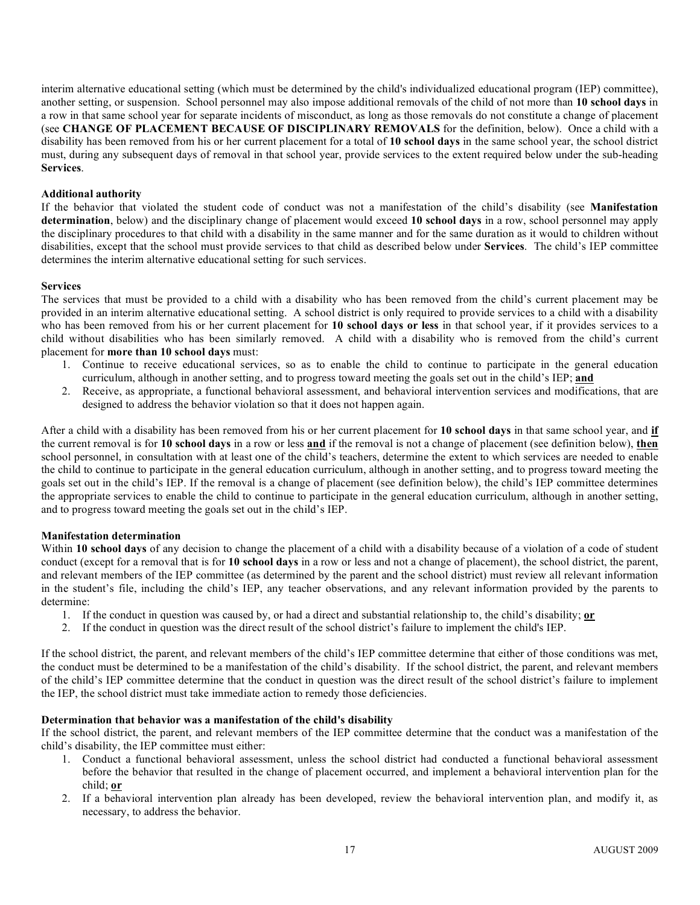interim alternative educational setting (which must be determined by the child's individualized educational program (IEP) committee), another setting, or suspension. School personnel may also impose additional removals of the child of not more than **10 school days** in a row in that same school year for separate incidents of misconduct, as long as those removals do not constitute a change of placement (see **CHANGE OF PLACEMENT BECAUSE OF DISCIPLINARY REMOVALS** for the definition, below). Once a child with a disability has been removed from his or her current placement for a total of **10 school days** in the same school year, the school district must, during any subsequent days of removal in that school year, provide services to the extent required below under the sub-heading **Services**.

## **Additional authority**

If the behavior that violated the student code of conduct was not a manifestation of the child's disability (see **Manifestation determination**, below) and the disciplinary change of placement would exceed **10 school days** in a row, school personnel may apply the disciplinary procedures to that child with a disability in the same manner and for the same duration as it would to children without disabilities, except that the school must provide services to that child as described below under **Services**. The child's IEP committee determines the interim alternative educational setting for such services.

#### **Services**

The services that must be provided to a child with a disability who has been removed from the child's current placement may be provided in an interim alternative educational setting. A school district is only required to provide services to a child with a disability who has been removed from his or her current placement for **10 school days or less** in that school year, if it provides services to a child without disabilities who has been similarly removed. A child with a disability who is removed from the child's current placement for **more than 10 school days** must:

- 1. Continue to receive educational services, so as to enable the child to continue to participate in the general education curriculum, although in another setting, and to progress toward meeting the goals set out in the child's IEP; **and**
- 2. Receive, as appropriate, a functional behavioral assessment, and behavioral intervention services and modifications, that are designed to address the behavior violation so that it does not happen again.

After a child with a disability has been removed from his or her current placement for **10 school days** in that same school year, and **if** the current removal is for **10 school days** in a row or less **and** if the removal is not a change of placement (see definition below), **then** school personnel, in consultation with at least one of the child's teachers, determine the extent to which services are needed to enable the child to continue to participate in the general education curriculum, although in another setting, and to progress toward meeting the goals set out in the child's IEP. If the removal is a change of placement (see definition below), the child's IEP committee determines the appropriate services to enable the child to continue to participate in the general education curriculum, although in another setting, and to progress toward meeting the goals set out in the child's IEP.

# **Manifestation determination**

Within **10 school days** of any decision to change the placement of a child with a disability because of a violation of a code of student conduct (except for a removal that is for **10 school days** in a row or less and not a change of placement), the school district, the parent, and relevant members of the IEP committee (as determined by the parent and the school district) must review all relevant information in the student's file, including the child's IEP, any teacher observations, and any relevant information provided by the parents to determine:

- 1. If the conduct in question was caused by, or had a direct and substantial relationship to, the child's disability; **or**
- 2. If the conduct in question was the direct result of the school district's failure to implement the child's IEP.

If the school district, the parent, and relevant members of the child's IEP committee determine that either of those conditions was met, the conduct must be determined to be a manifestation of the child's disability. If the school district, the parent, and relevant members of the child's IEP committee determine that the conduct in question was the direct result of the school district's failure to implement the IEP, the school district must take immediate action to remedy those deficiencies.

#### **Determination that behavior was a manifestation of the child's disability**

If the school district, the parent, and relevant members of the IEP committee determine that the conduct was a manifestation of the child's disability, the IEP committee must either:

- 1. Conduct a functional behavioral assessment, unless the school district had conducted a functional behavioral assessment before the behavior that resulted in the change of placement occurred, and implement a behavioral intervention plan for the child; **or**
- 2. If a behavioral intervention plan already has been developed, review the behavioral intervention plan, and modify it, as necessary, to address the behavior.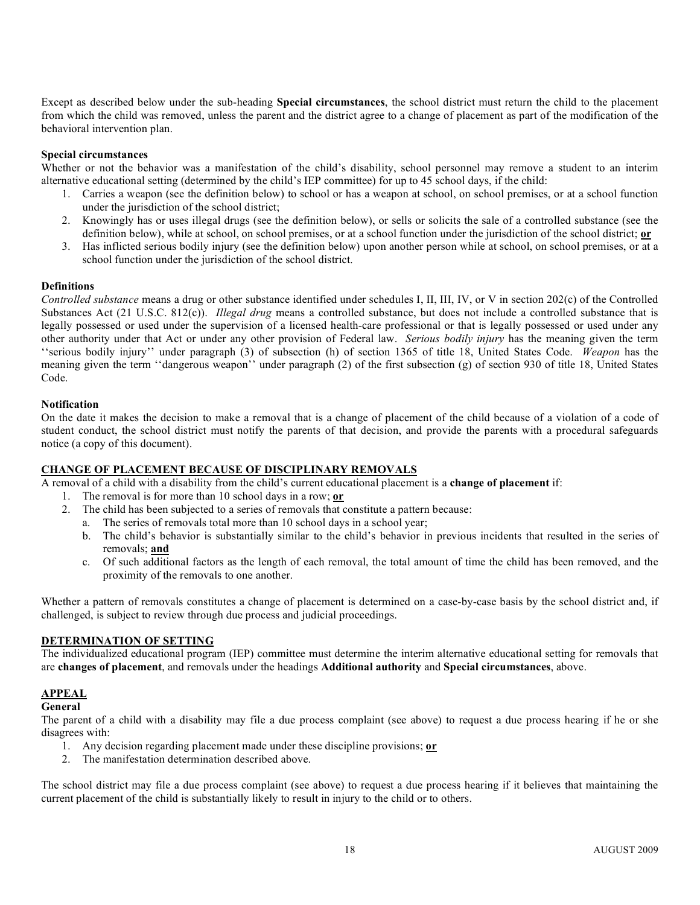Except as described below under the sub-heading **Special circumstances**, the school district must return the child to the placement from which the child was removed, unless the parent and the district agree to a change of placement as part of the modification of the behavioral intervention plan.

# **Special circumstances**

Whether or not the behavior was a manifestation of the child's disability, school personnel may remove a student to an interim alternative educational setting (determined by the child's IEP committee) for up to 45 school days, if the child:

- 1. Carries a weapon (see the definition below) to school or has a weapon at school, on school premises, or at a school function under the jurisdiction of the school district;
- 2. Knowingly has or uses illegal drugs (see the definition below), or sells or solicits the sale of a controlled substance (see the definition below), while at school, on school premises, or at a school function under the jurisdiction of the school district; **or**
- 3. Has inflicted serious bodily injury (see the definition below) upon another person while at school, on school premises, or at a school function under the jurisdiction of the school district.

# **Definitions**

*Controlled substance* means a drug or other substance identified under schedules I, II, III, IV, or V in section 202(c) of the Controlled Substances Act (21 U.S.C. 812(c)). *Illegal drug* means a controlled substance, but does not include a controlled substance that is legally possessed or used under the supervision of a licensed health-care professional or that is legally possessed or used under any other authority under that Act or under any other provision of Federal law. *Serious bodily injury* has the meaning given the term ''serious bodily injury'' under paragraph (3) of subsection (h) of section 1365 of title 18, United States Code. *Weapon* has the meaning given the term ''dangerous weapon'' under paragraph (2) of the first subsection (g) of section 930 of title 18, United States Code.

# **Notification**

On the date it makes the decision to make a removal that is a change of placement of the child because of a violation of a code of student conduct, the school district must notify the parents of that decision, and provide the parents with a procedural safeguards notice (a copy of this document).

#### **CHANGE OF PLACEMENT BECAUSE OF DISCIPLINARY REMOVALS**

A removal of a child with a disability from the child's current educational placement is a **change of placement** if:

- 1. The removal is for more than 10 school days in a row; **or**
- 2. The child has been subjected to a series of removals that constitute a pattern because:
	- a. The series of removals total more than 10 school days in a school year;
	- b. The child's behavior is substantially similar to the child's behavior in previous incidents that resulted in the series of removals; **and**
	- c. Of such additional factors as the length of each removal, the total amount of time the child has been removed, and the proximity of the removals to one another.

Whether a pattern of removals constitutes a change of placement is determined on a case-by-case basis by the school district and, if challenged, is subject to review through due process and judicial proceedings.

## **DETERMINATION OF SETTING**

The individualized educational program (IEP) committee must determine the interim alternative educational setting for removals that are **changes of placement**, and removals under the headings **Additional authority** and **Special circumstances**, above.

# **APPEAL**

**General**

The parent of a child with a disability may file a due process complaint (see above) to request a due process hearing if he or she disagrees with:

- 1. Any decision regarding placement made under these discipline provisions; **or**
- 2. The manifestation determination described above.

The school district may file a due process complaint (see above) to request a due process hearing if it believes that maintaining the current placement of the child is substantially likely to result in injury to the child or to others.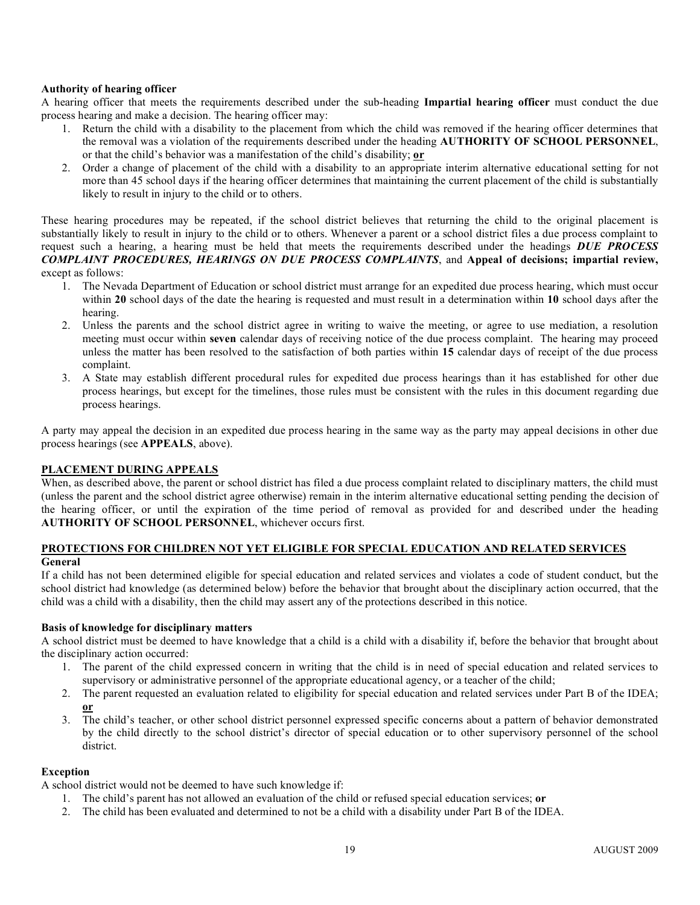# **Authority of hearing officer**

A hearing officer that meets the requirements described under the sub-heading **Impartial hearing officer** must conduct the due process hearing and make a decision. The hearing officer may:

- 1. Return the child with a disability to the placement from which the child was removed if the hearing officer determines that the removal was a violation of the requirements described under the heading **AUTHORITY OF SCHOOL PERSONNEL**, or that the child's behavior was a manifestation of the child's disability; **or**
- 2. Order a change of placement of the child with a disability to an appropriate interim alternative educational setting for not more than 45 school days if the hearing officer determines that maintaining the current placement of the child is substantially likely to result in injury to the child or to others.

These hearing procedures may be repeated, if the school district believes that returning the child to the original placement is substantially likely to result in injury to the child or to others. Whenever a parent or a school district files a due process complaint to request such a hearing, a hearing must be held that meets the requirements described under the headings *DUE PROCESS COMPLAINT PROCEDURES, HEARINGS ON DUE PROCESS COMPLAINTS*, and **Appeal of decisions; impartial review,** except as follows:

- 1. The Nevada Department of Education or school district must arrange for an expedited due process hearing, which must occur within **20** school days of the date the hearing is requested and must result in a determination within **10** school days after the hearing.
- 2. Unless the parents and the school district agree in writing to waive the meeting, or agree to use mediation, a resolution meeting must occur within **seven** calendar days of receiving notice of the due process complaint. The hearing may proceed unless the matter has been resolved to the satisfaction of both parties within **15** calendar days of receipt of the due process complaint.
- 3. A State may establish different procedural rules for expedited due process hearings than it has established for other due process hearings, but except for the timelines, those rules must be consistent with the rules in this document regarding due process hearings.

A party may appeal the decision in an expedited due process hearing in the same way as the party may appeal decisions in other due process hearings (see **APPEALS**, above).

# **PLACEMENT DURING APPEALS**

When, as described above, the parent or school district has filed a due process complaint related to disciplinary matters, the child must (unless the parent and the school district agree otherwise) remain in the interim alternative educational setting pending the decision of the hearing officer, or until the expiration of the time period of removal as provided for and described under the heading **AUTHORITY OF SCHOOL PERSONNEL**, whichever occurs first.

# **PROTECTIONS FOR CHILDREN NOT YET ELIGIBLE FOR SPECIAL EDUCATION AND RELATED SERVICES General**

If a child has not been determined eligible for special education and related services and violates a code of student conduct, but the school district had knowledge (as determined below) before the behavior that brought about the disciplinary action occurred, that the child was a child with a disability, then the child may assert any of the protections described in this notice.

# **Basis of knowledge for disciplinary matters**

A school district must be deemed to have knowledge that a child is a child with a disability if, before the behavior that brought about the disciplinary action occurred:

- 1. The parent of the child expressed concern in writing that the child is in need of special education and related services to supervisory or administrative personnel of the appropriate educational agency, or a teacher of the child;
- 2. The parent requested an evaluation related to eligibility for special education and related services under Part B of the IDEA; **or**
- 3. The child's teacher, or other school district personnel expressed specific concerns about a pattern of behavior demonstrated by the child directly to the school district's director of special education or to other supervisory personnel of the school district.

#### **Exception**

A school district would not be deemed to have such knowledge if:

- 1. The child's parent has not allowed an evaluation of the child or refused special education services; **or**
- 2. The child has been evaluated and determined to not be a child with a disability under Part B of the IDEA.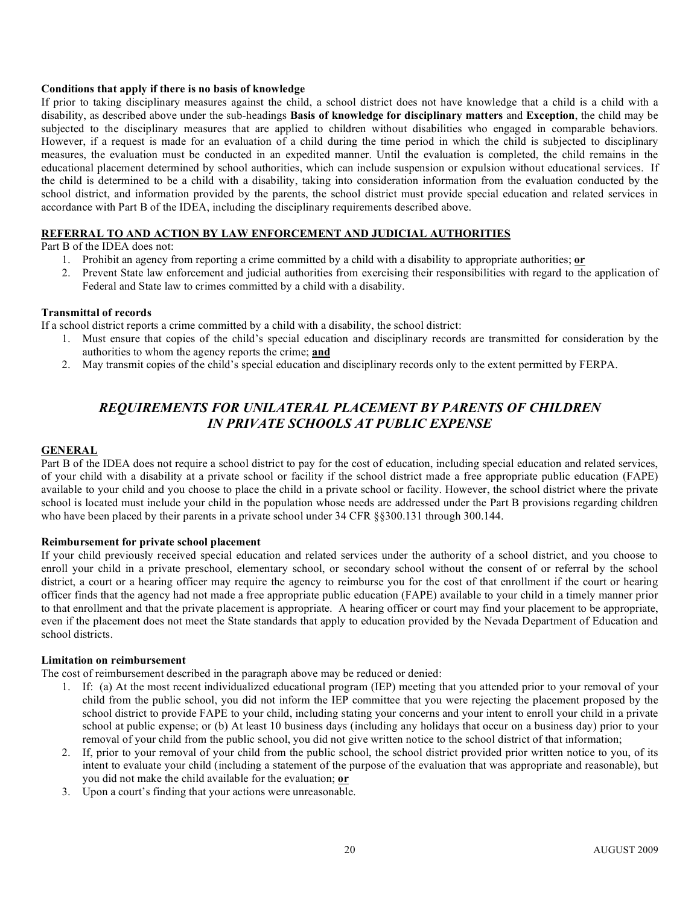# **Conditions that apply if there is no basis of knowledge**

If prior to taking disciplinary measures against the child, a school district does not have knowledge that a child is a child with a disability, as described above under the sub-headings **Basis of knowledge for disciplinary matters** and **Exception**, the child may be subjected to the disciplinary measures that are applied to children without disabilities who engaged in comparable behaviors. However, if a request is made for an evaluation of a child during the time period in which the child is subjected to disciplinary measures, the evaluation must be conducted in an expedited manner. Until the evaluation is completed, the child remains in the educational placement determined by school authorities, which can include suspension or expulsion without educational services. If the child is determined to be a child with a disability, taking into consideration information from the evaluation conducted by the school district, and information provided by the parents, the school district must provide special education and related services in accordance with Part B of the IDEA, including the disciplinary requirements described above.

# **REFERRAL TO AND ACTION BY LAW ENFORCEMENT AND JUDICIAL AUTHORITIES**

Part B of the IDEA does not:

- 1. Prohibit an agency from reporting a crime committed by a child with a disability to appropriate authorities; **or**
- 2. Prevent State law enforcement and judicial authorities from exercising their responsibilities with regard to the application of Federal and State law to crimes committed by a child with a disability.

#### **Transmittal of records**

If a school district reports a crime committed by a child with a disability, the school district:

- 1. Must ensure that copies of the child's special education and disciplinary records are transmitted for consideration by the authorities to whom the agency reports the crime; **and**
- 2. May transmit copies of the child's special education and disciplinary records only to the extent permitted by FERPA.

# *REQUIREMENTS FOR UNILATERAL PLACEMENT BY PARENTS OF CHILDREN IN PRIVATE SCHOOLS AT PUBLIC EXPENSE*

#### **GENERAL**

Part B of the IDEA does not require a school district to pay for the cost of education, including special education and related services, of your child with a disability at a private school or facility if the school district made a free appropriate public education (FAPE) available to your child and you choose to place the child in a private school or facility. However, the school district where the private school is located must include your child in the population whose needs are addressed under the Part B provisions regarding children who have been placed by their parents in a private school under 34 CFR §§300.131 through 300.144.

#### **Reimbursement for private school placement**

If your child previously received special education and related services under the authority of a school district, and you choose to enroll your child in a private preschool, elementary school, or secondary school without the consent of or referral by the school district, a court or a hearing officer may require the agency to reimburse you for the cost of that enrollment if the court or hearing officer finds that the agency had not made a free appropriate public education (FAPE) available to your child in a timely manner prior to that enrollment and that the private placement is appropriate. A hearing officer or court may find your placement to be appropriate, even if the placement does not meet the State standards that apply to education provided by the Nevada Department of Education and school districts.

#### **Limitation on reimbursement**

The cost of reimbursement described in the paragraph above may be reduced or denied:

- 1. If: (a) At the most recent individualized educational program (IEP) meeting that you attended prior to your removal of your child from the public school, you did not inform the IEP committee that you were rejecting the placement proposed by the school district to provide FAPE to your child, including stating your concerns and your intent to enroll your child in a private school at public expense; or (b) At least 10 business days (including any holidays that occur on a business day) prior to your removal of your child from the public school, you did not give written notice to the school district of that information;
- 2. If, prior to your removal of your child from the public school, the school district provided prior written notice to you, of its intent to evaluate your child (including a statement of the purpose of the evaluation that was appropriate and reasonable), but you did not make the child available for the evaluation; **or**
- 3. Upon a court's finding that your actions were unreasonable.